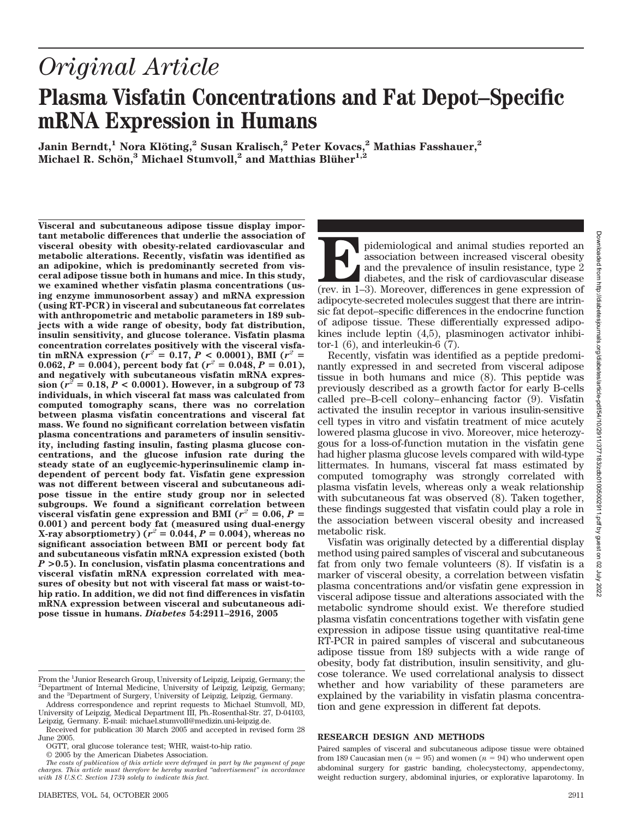# *Original Article* **Plasma Visfatin Concentrations and Fat Depot–Specific mRNA Expression in Humans**

 $\sigma$ Janin Berndt,<sup>1</sup> Nora Klöting,<sup>2</sup> Susan Kralisch,<sup>2</sup> Peter Kovacs,<sup>2</sup> Mathias Fasshauer,<sup>2</sup> **Michael R. Schön,<sup>3</sup> Michael Stumvoll,<sup>2</sup> and Matthias Blüher<sup>1,2</sup>** 

**Visceral and subcutaneous adipose tissue display important metabolic differences that underlie the association of visceral obesity with obesity-related cardiovascular and metabolic alterations. Recently, visfatin was identified as an adipokine, which is predominantly secreted from visceral adipose tissue both in humans and mice. In this study, we examined whether visfatin plasma concentrations (using enzyme immunosorbent assay) and mRNA expression (using RT-PCR) in visceral and subcutaneous fat correlates with anthropometric and metabolic parameters in 189 subjects with a wide range of obesity, body fat distribution, insulin sensitivity, and glucose tolerance. Visfatin plasma concentration correlates positively with the visceral visfatin mRNA expression** ( $r^2 = 0.17$ ,  $P < 0.0001$ ), BMI ( $r^2 =$ 0.062,  $P = 0.004$ ), percent body fat  $(r^2 = 0.048, P = 0.01)$ , **and negatively with subcutaneous visfatin mRNA expres**sion ( $r^2 = 0.18$ ,  $P < 0.0001$ ). However, in a subgroup of 73 **individuals, in which visceral fat mass was calculated from computed tomography scans, there was no correlation between plasma visfatin concentrations and visceral fat mass. We found no significant correlation between visfatin plasma concentrations and parameters of insulin sensitivity, including fasting insulin, fasting plasma glucose concentrations, and the glucose infusion rate during the steady state of an euglycemic-hyperinsulinemic clamp independent of percent body fat. Visfatin gene expression was not different between visceral and subcutaneous adipose tissue in the entire study group nor in selected subgroups. We found a significant correlation between visceral visfatin gene expression and BMI (** $r^2 = 0.06$ **,**  $P =$ **0.001) and percent body fat (measured using dual-energy X-ray absorptiometry)**  $(r^2 = 0.044, P = 0.004)$ , whereas no **significant association between BMI or percent body fat and subcutaneous visfatin mRNA expression existed (both** *P* **>0.5). In conclusion, visfatin plasma concentrations and visceral visfatin mRNA expression correlated with measures of obesity but not with visceral fat mass or waist-tohip ratio. In addition, we did not find differences in visfatin mRNA expression between visceral and subcutaneous adipose tissue in humans.** *Diabetes* **54:2911–2916, 2005**

pidemiological and animal studies reported an association between increased visceral obesity and the prevalence of insulin resistance, type 2 diabetes, and the risk of cardiovascular disease (rev. in 1–3). Moreover, differ association between increased visceral obesity and the prevalence of insulin resistance, type 2 diabetes, and the risk of cardiovascular disease adipocyte-secreted molecules suggest that there are intrinsic fat depot–specific differences in the endocrine function of adipose tissue. These differentially expressed adipokines include leptin (4,5), plasminogen activator inhibitor-1 (6), and interleukin-6 (7).

Recently, visfatin was identified as a peptide predominantly expressed in and secreted from visceral adipose tissue in both humans and mice (8). This peptide was previously described as a growth factor for early B-cells called pre–B-cell colony–enhancing factor (9). Visfatin activated the insulin receptor in various insulin-sensitive cell types in vitro and visfatin treatment of mice acutely lowered plasma glucose in vivo. Moreover, mice heterozygous for a loss-of-function mutation in the visfatin gene had higher plasma glucose levels compared with wild-type littermates. In humans, visceral fat mass estimated by computed tomography was strongly correlated with plasma visfatin levels, whereas only a weak relationship with subcutaneous fat was observed (8). Taken together, these findings suggested that visfatin could play a role in the association between visceral obesity and increased metabolic risk.

Visfatin was originally detected by a differential display method using paired samples of visceral and subcutaneous fat from only two female volunteers (8). If visfatin is a marker of visceral obesity, a correlation between visfatin plasma concentrations and/or visfatin gene expression in visceral adipose tissue and alterations associated with the metabolic syndrome should exist. We therefore studied plasma visfatin concentrations together with visfatin gene expression in adipose tissue using quantitative real-time RT-PCR in paired samples of visceral and subcutaneous adipose tissue from 189 subjects with a wide range of obesity, body fat distribution, insulin sensitivity, and glucose tolerance. We used correlational analysis to dissect whether and how variability of these parameters are explained by the variability in visfatin plasma concentration and gene expression in different fat depots.

### **RESEARCH DESIGN AND METHODS**

Paired samples of visceral and subcutaneous adipose tissue were obtained from 189 Caucasian men ( $n = 95$ ) and women ( $n = 94$ ) who underwent open abdominal surgery for gastric banding, cholecystectomy, appendectomy, weight reduction surgery, abdominal injuries, or explorative laparotomy. In

From the <sup>1</sup>Junior Research Group, University of Leipzig, Leipzig, Germany; the <sup>2</sup>Department of Internal Medicine, University of Leipzig, Germany; <sup>2</sup>Department of Internal Medicine, University of Leipzig, Leipzig, Germany; and the <sup>3</sup> Department of Surgery, University of Leipzig, Leipzig, Germany.

Address correspondence and reprint requests to Michael Stumvoll, MD, University of Leipzig, Medical Department III, Ph.-Rosenthal-Str. 27, D-04103, Leipzig, Germany. E-mail: michael.stumvoll@medizin.uni-leipzig.de.

Received for publication 30 March 2005 and accepted in revised form 28 June 2005.

OGTT, oral glucose tolerance test; WHR, waist-to-hip ratio.

<sup>© 2005</sup> by the American Diabetes Association.

*The costs of publication of this article were defrayed in part by the payment of page charges. This article must therefore be hereby marked "advertisement" in accordance with 18 U.S.C. Section 1734 solely to indicate this fact.*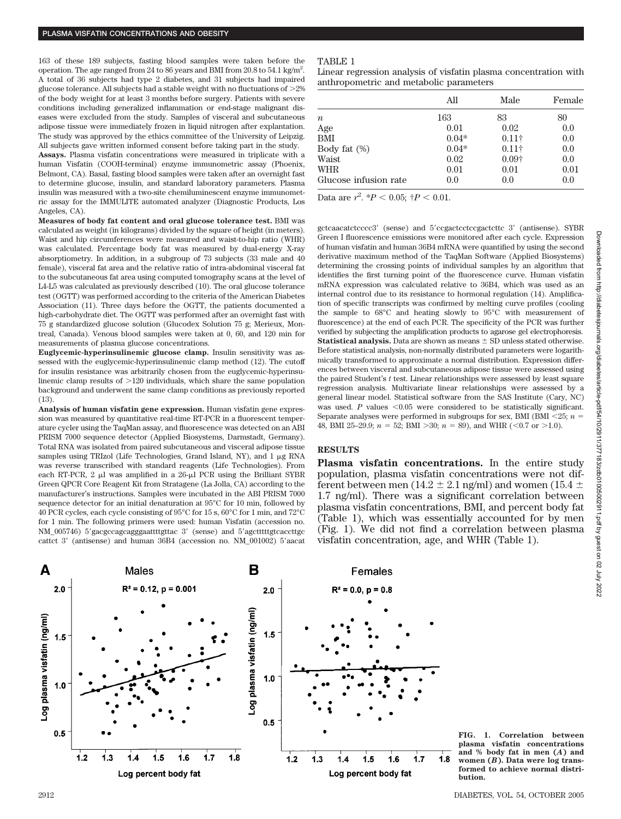163 of these 189 subjects, fasting blood samples were taken before the operation. The age ranged from 24 to 86 years and BMI from 20.8 to 54.1 kg/m<sup>2</sup>. A total of 36 subjects had type 2 diabetes, and 31 subjects had impaired glucose tolerance. All subjects had a stable weight with no fluctuations of  $>2\%$ of the body weight for at least 3 months before surgery. Patients with severe conditions including generalized inflammation or end-stage malignant diseases were excluded from the study. Samples of visceral and subcutaneous adipose tissue were immediately frozen in liquid nitrogen after explantation. The study was approved by the ethics committee of the University of Leipzig. All subjects gave written informed consent before taking part in the study.

**Assays.** Plasma visfatin concentrations were measured in triplicate with a human Visfatin (COOH-terminal) enzyme immunometric assay (Phoenix, Belmont, CA). Basal, fasting blood samples were taken after an overnight fast to determine glucose, insulin, and standard laboratory parameters. Plasma insulin was measured with a two-site chemiluminescent enzyme immunometric assay for the IMMULITE automated analyzer (Diagnostic Products, Los Angeles, CA).

**Measures of body fat content and oral glucose tolerance test.** BMI was calculated as weight (in kilograms) divided by the square of height (in meters). Waist and hip circumferences were measured and waist-to-hip ratio (WHR) was calculated. Percentage body fat was measured by dual-energy X-ray absorptiometry. In addition, in a subgroup of 73 subjects (33 male and 40 female), visceral fat area and the relative ratio of intra-abdominal visceral fat to the subcutaneous fat area using computed tomography scans at the level of L4-L5 was calculated as previously described (10). The oral glucose tolerance test (OGTT) was performed according to the criteria of the American Diabetes Association (11). Three days before the OGTT, the patients documented a high-carbohydrate diet. The OGTT was performed after an overnight fast with 75 g standardized glucose solution (Glucodex Solution 75 g; Merieux, Montreal, Canada). Venous blood samples were taken at 0, 60, and 120 min for measurements of plasma glucose concentrations.

**Euglycemic-hyperinsulinemic glucose clamp.** Insulin sensitivity was assessed with the euglycemic-hyperinsulinemic clamp method (12). The cutoff for insulin resistance was arbitrarily chosen from the euglycemic-hyperinsulinemic clamp results of  $>120$  individuals, which share the same population background and underwent the same clamp conditions as previously reported (13).

**Analysis of human visfatin gene expression.** Human visfatin gene expression was measured by quantitative real-time RT-PCR in a fluorescent temperature cycler using the TaqMan assay, and fluorescence was detected on an ABI PRISM 7000 sequence detector (Applied Biosystems, Darmstadt, Germany). Total RNA was isolated from paired subcutaneous and visceral adipose tissue samples using TRIzol (Life Technologies, Grand Island, NY), and  $1 \mu$ g RNA was reverse transcribed with standard reagents (Life Technologies). From each RT-PCR,  $2 \mu l$  was amplified in a  $26-\mu l$  PCR using the Brilliant SYBR Green QPCR Core Reagent Kit from Stratagene (La Jolla, CA) according to the manufacturer's instructions. Samples were incubated in the ABI PRISM 7000 sequence detector for an initial denaturation at 95°C for 10 min, followed by 40 PCR cycles, each cycle consisting of 95°C for 15 s, 60°C for 1 min, and 72°C for 1 min. The following primers were used: human Visfatin (accession no. NM\_005746) 5'gacgccagcagggaattttgttac 3' (sense) and 5'agctttttgtcaccttgc cattct 3' (antisense) and human 36B4 (accession no. NM\_001002) 5'aacat

# TABLE 1

Linear regression analysis of visfatin plasma concentration with anthropometric and metabolic parameters

|                       | All     | Male              | Female |  |
|-----------------------|---------|-------------------|--------|--|
| $\boldsymbol{n}$      | 163     | 83                | 80     |  |
| Age                   | 0.01    | 0.02              | 0.0    |  |
| <b>BMI</b>            | $0.04*$ | $0.11\dagger$     | 0.0    |  |
| Body fat $(\%)$       | $0.04*$ | $0.11\dagger$     | 0.0    |  |
| Waist                 | 0.02    | 0.09 <sup>†</sup> | 0.0    |  |
| <b>WHR</b>            | 0.01    | 0.01              | 0.01   |  |
| Glucose infusion rate | 0.0     | 0.0               | 0.0    |  |

Data are  $r^2$ .  $*P < 0.05$ ;  $\dagger P < 0.01$ .

gctcaacatctcccc3' (sense) and 5'ccgactcctccgactcttc 3' (antisense). SYBR Green I fluorescence emissions were monitored after each cycle. Expression of human visfatin and human 36B4 mRNA were quantified by using the second derivative maximum method of the TaqMan Software (Applied Biosystems) determining the crossing points of individual samples by an algorithm that identifies the first turning point of the fluorescence curve. Human visfatin mRNA expression was calculated relative to 36B4, which was used as an internal control due to its resistance to hormonal regulation (14). Amplification of specific transcripts was confirmed by melting curve profiles (cooling the sample to 68°C and heating slowly to 95°C with measurement of fluorescence) at the end of each PCR. The specificity of the PCR was further verified by subjecting the amplification products to agarose gel electrophoresis. **Statistical analysis.** Data are shown as means  $\pm$  SD unless stated otherwise. Before statistical analysis, non-normally distributed parameters were logarithmically transformed to approximate a normal distribution. Expression differences between visceral and subcutaneous adipose tissue were assessed using the paired Student's *t* test. Linear relationships were assessed by least square regression analysis. Multivariate linear relationships were assessed by a general linear model. Statistical software from the SAS Institute (Cary, NC) was used.  $P$  values  $\leq 0.05$  were considered to be statistically significant. Separate analyses were performed in subgroups for sex, BMI (BMI  $\leq$ 25; *n* = 48, BMI 25-29.9;  $n = 52$ ; BMI > 30;  $n = 89$ ), and WHR (<0.7 or >1.0).

# **RESULTS**

**Plasma visfatin concentrations.** In the entire study population, plasma visfatin concentrations were not different between men (14.2  $\pm$  2.1 ng/ml) and women (15.4  $\pm$ 1.7 ng/ml). There was a significant correlation between plasma visfatin concentrations, BMI, and percent body fat (Table 1), which was essentially accounted for by men (Fig. 1). We did not find a correlation between plasma visfatin concentration, age, and WHR (Table 1).



**FIG. 1. Correlation between plasma visfatin concentrations and % body fat in men (***A***) and women (***B***). Data were log transformed to achieve normal distribution.**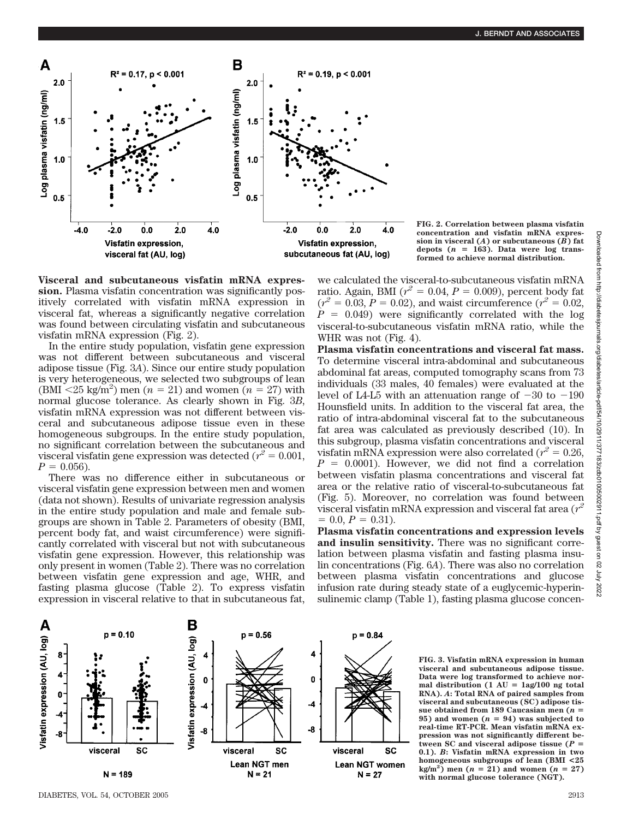

**FIG. 2. Correlation between plasma visfatin concentration and visfatin mRNA expression in visceral (***A***) or subcutaneous (***B***) fat depots (***n* **163). Data were log transformed to achieve normal distribution.**

**Visceral and subcutaneous visfatin mRNA expression.** Plasma visfatin concentration was significantly positively correlated with visfatin mRNA expression in visceral fat, whereas a significantly negative correlation was found between circulating visfatin and subcutaneous visfatin mRNA expression (Fig. 2).

In the entire study population, visfatin gene expression was not different between subcutaneous and visceral adipose tissue (Fig. 3*A*). Since our entire study population is very heterogeneous, we selected two subgroups of lean  $(BMI < 25 \text{ kg/m}^2)$  men  $(n = 21)$  and women  $(n = 27)$  with normal glucose tolerance. As clearly shown in Fig. 3*B*, visfatin mRNA expression was not different between visceral and subcutaneous adipose tissue even in these homogeneous subgroups. In the entire study population, no significant correlation between the subcutaneous and visceral visfatin gene expression was detected ( $r^2 = 0.001$ ,  $P = 0.056$ .

There was no difference either in subcutaneous or visceral visfatin gene expression between men and women (data not shown). Results of univariate regression analysis in the entire study population and male and female subgroups are shown in Table 2. Parameters of obesity (BMI, percent body fat, and waist circumference) were significantly correlated with visceral but not with subcutaneous visfatin gene expression. However, this relationship was only present in women (Table 2). There was no correlation between visfatin gene expression and age, WHR, and fasting plasma glucose (Table 2). To express visfatin expression in visceral relative to that in subcutaneous fat,

we calculated the visceral-to-subcutaneous visfatin mRNA ratio. Again, BMI ( $r^2 = 0.04$ ,  $P = 0.009$ ), percent body fat  $(r^2 = 0.03, P = 0.02)$ , and waist circumference  $(r^2 = 0.02, P = 0.02)$  $P = 0.049$ ) were significantly correlated with the log visceral-to-subcutaneous visfatin mRNA ratio, while the WHR was not (Fig. 4).

**Plasma visfatin concentrations and visceral fat mass.** To determine visceral intra-abdominal and subcutaneous abdominal fat areas, computed tomography scans from 73 individuals (33 males, 40 females) were evaluated at the level of L4-L5 with an attenuation range of  $-30$  to  $-190$ Hounsfield units. In addition to the visceral fat area, the ratio of intra-abdominal visceral fat to the subcutaneous fat area was calculated as previously described (10). In this subgroup, plasma visfatin concentrations and visceral visfatin mRNA expression were also correlated ( $r^2 = 0.26$ ,  $P = 0.0001$ . However, we did not find a correlation between visfatin plasma concentrations and visceral fat area or the relative ratio of visceral-to-subcutaneous fat (Fig. 5). Moreover, no correlation was found between visceral visfatin mRNA expression and visceral fat area  $(r^2)$  $= 0.0, P = 0.31$ .

**Plasma visfatin concentrations and expression levels and insulin sensitivity.** There was no significant correlation between plasma visfatin and fasting plasma insulin concentrations (Fig. 6*A*). There was also no correlation between plasma visfatin concentrations and glucose infusion rate during steady state of a euglycemic-hyperinsulinemic clamp (Table 1), fasting plasma glucose concen-



**FIG. 3. Visfatin mRNA expression in human visceral and subcutaneous adipose tissue. Data were log transformed to achieve nor**mal distribution  $(1 \text{ AU} = 1$ ag/100 ng total **RNA).** *A***: Total RNA of paired samples from visceral and subcutaneous (SC) adipose tissue obtained from 189 Caucasian men (***n*  $95$ ) and women  $(n = 94)$  was subjected to **real-time RT-PCR. Mean visfatin mRNA expression was not significantly different between SC and visceral adipose tissue (***P* **0.1).** *B***: Visfatin mRNA expression in two homogeneous subgroups of lean (BMI <25**  $kg/m^2$ ) men ( $n = 21$ ) and women ( $n = 27$ ) **with normal glucose tolerance (NGT).**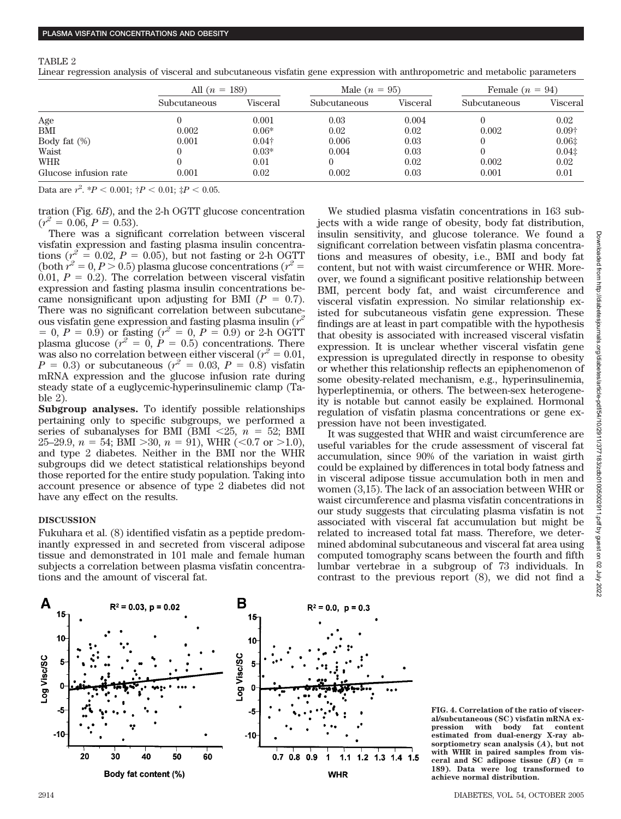#### TABLE 2

Linear regression analysis of visceral and subcutaneous visfatin gene expression with anthropometric and metabolic parameters

|                       | All $(n = 189)$ |               | Male $(n = 95)$ |          | Female $(n = 94)$ |                   |
|-----------------------|-----------------|---------------|-----------------|----------|-------------------|-------------------|
|                       | Subcutaneous    | Visceral      | Subcutaneous    | Visceral | Subcutaneous      | Visceral          |
| Age                   |                 | 0.001         | 0.03            | 0.004    |                   | 0.02              |
| <b>BMI</b>            | 0.002           | $0.06*$       | 0.02            | 0.02     | 0.002             | 0.09 <sup>†</sup> |
| Body fat $(\%)$       | 0.001           | $0.04\dagger$ | 0.006           | 0.03     |                   | 0.061             |
| Waist                 |                 | $0.03*$       | 0.004           | 0.03     |                   | $0.04\pm$         |
| <b>WHR</b>            |                 | 0.01          |                 | 0.02     | 0.002             | 0.02              |
| Glucose infusion rate | 0.001           | 0.02          | 0.002           | 0.03     | 0.001             | 0.01              |

Data are  $r^2$ .  $*P < 0.001$ ;  $\dagger P < 0.01$ ;  $\ddagger P < 0.05$ .

tration (Fig. 6*B*), and the 2-h OGTT glucose concentration  $(r^2 = 0.06, P = 0.53).$ 

There was a significant correlation between visceral visfatin expression and fasting plasma insulin concentrations ( $r^2 = 0.02$ ,  $P = 0.05$ ), but not fasting or 2-h OGTT (both  $r^2 = 0, P > 0.5$ ) plasma glucose concentrations ( $r^2 =$ 0.01,  $P = 0.2$ ). The correlation between visceral visfatin expression and fasting plasma insulin concentrations became nonsignificant upon adjusting for BMI  $(P = 0.7)$ . There was no significant correlation between subcutaneous visfatin gene expression and fasting plasma insulin (*r<sup>2</sup>*  $= 0, P = 0.9$ ) or fasting ( $r^2 = 0, P = 0.9$ ) or 2-h OGTT plasma glucose ( $r^2 = 0$ ,  $P = 0.5$ ) concentrations. There was also no correlation between either visceral ( $r^2 = 0.01$ ,  $P = 0.3$  or subcutaneous ( $r^2 = 0.03$ ,  $P = 0.8$ ) visfatin mRNA expression and the glucose infusion rate during steady state of a euglycemic-hyperinsulinemic clamp (Table 2).

**Subgroup analyses.** To identify possible relationships pertaining only to specific subgroups, we performed a series of subanalyses for BMI (BMI  $\langle 25, n = 52; \text{ BMI}$ )  $25-29.9, n = 54$ ; BMI  $>30, n = 91$ ), WHR (<0.7 or >1.0), and type 2 diabetes. Neither in the BMI nor the WHR subgroups did we detect statistical relationships beyond those reported for the entire study population. Taking into account presence or absence of type 2 diabetes did not have any effect on the results.

## **DISCUSSION**

Fukuhara et al. (8) identified visfatin as a peptide predominantly expressed in and secreted from visceral adipose tissue and demonstrated in 101 male and female human subjects a correlation between plasma visfatin concentrations and the amount of visceral fat.

We studied plasma visfatin concentrations in 163 subjects with a wide range of obesity, body fat distribution, insulin sensitivity, and glucose tolerance. We found a significant correlation between visfatin plasma concentrations and measures of obesity, i.e., BMI and body fat content, but not with waist circumference or WHR. Moreover, we found a significant positive relationship between BMI, percent body fat, and waist circumference and visceral visfatin expression. No similar relationship existed for subcutaneous visfatin gene expression. These findings are at least in part compatible with the hypothesis that obesity is associated with increased visceral visfatin expression. It is unclear whether visceral visfatin gene expression is upregulated directly in response to obesity or whether this relationship reflects an epiphenomenon of some obesity-related mechanism, e.g., hyperinsulinemia, hyperleptinemia, or others. The between-sex heterogeneity is notable but cannot easily be explained. Hormonal regulation of visfatin plasma concentrations or gene expression have not been investigated.

It was suggested that WHR and waist circumference are useful variables for the crude assessment of visceral fat accumulation, since 90% of the variation in waist girth could be explained by differences in total body fatness and in visceral adipose tissue accumulation both in men and women (3,15). The lack of an association between WHR or waist circumference and plasma visfatin concentrations in our study suggests that circulating plasma visfatin is not associated with visceral fat accumulation but might be related to increased total fat mass. Therefore, we determined abdominal subcutaneous and visceral fat area using computed tomography scans between the fourth and fifth lumbar vertebrae in a subgroup of 73 individuals. In contrast to the previous report (8), we did not find a



**FIG. 4. Correlation of the ratio of visceral/subcutaneous (SC) visfatin mRNA expression with body fat content estimated from dual-energy X-ray absorptiometry scan analysis (***A***), but not with WHR in paired samples from visceral and SC adipose tissue (***B***) (***n* **189). Data were log transformed to achieve normal distribution.**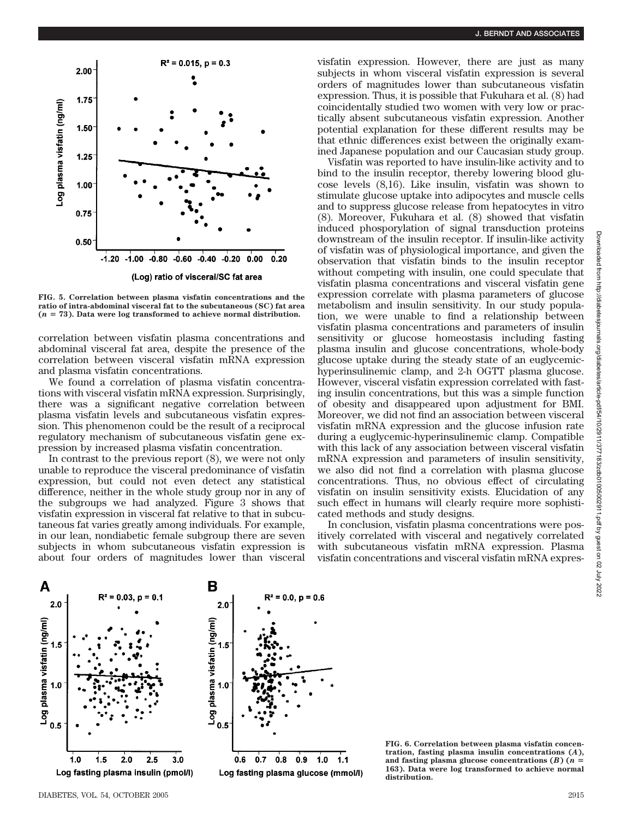

**FIG. 5. Correlation between plasma visfatin concentrations and the ratio of intra-abdominal visceral fat to the subcutaneous (SC) fat area (***n* **73). Data were log transformed to achieve normal distribution.**

correlation between visfatin plasma concentrations and abdominal visceral fat area, despite the presence of the correlation between visceral visfatin mRNA expression and plasma visfatin concentrations.

We found a correlation of plasma visfatin concentrations with visceral visfatin mRNA expression. Surprisingly, there was a significant negative correlation between plasma visfatin levels and subcutaneous visfatin expression. This phenomenon could be the result of a reciprocal regulatory mechanism of subcutaneous visfatin gene expression by increased plasma visfatin concentration.

In contrast to the previous report (8), we were not only unable to reproduce the visceral predominance of visfatin expression, but could not even detect any statistical difference, neither in the whole study group nor in any of the subgroups we had analyzed. Figure 3 shows that visfatin expression in visceral fat relative to that in subcutaneous fat varies greatly among individuals. For example, in our lean, nondiabetic female subgroup there are seven subjects in whom subcutaneous visfatin expression is about four orders of magnitudes lower than visceral visfatin expression. However, there are just as many subjects in whom visceral visfatin expression is several orders of magnitudes lower than subcutaneous visfatin expression. Thus, it is possible that Fukuhara et al. (8) had coincidentally studied two women with very low or practically absent subcutaneous visfatin expression. Another potential explanation for these different results may be that ethnic differences exist between the originally examined Japanese population and our Caucasian study group.

Visfatin was reported to have insulin-like activity and to bind to the insulin receptor, thereby lowering blood glucose levels (8,16). Like insulin, visfatin was shown to stimulate glucose uptake into adipocytes and muscle cells and to suppress glucose release from hepatocytes in vitro (8). Moreover, Fukuhara et al. (8) showed that visfatin induced phosporylation of signal transduction proteins downstream of the insulin receptor. If insulin-like activity of visfatin was of physiological importance, and given the observation that visfatin binds to the insulin receptor without competing with insulin, one could speculate that visfatin plasma concentrations and visceral visfatin gene expression correlate with plasma parameters of glucose metabolism and insulin sensitivity. In our study population, we were unable to find a relationship between visfatin plasma concentrations and parameters of insulin sensitivity or glucose homeostasis including fasting plasma insulin and glucose concentrations, whole-body glucose uptake during the steady state of an euglycemichyperinsulinemic clamp, and 2-h OGTT plasma glucose. However, visceral visfatin expression correlated with fasting insulin concentrations, but this was a simple function of obesity and disappeared upon adjustment for BMI. Moreover, we did not find an association between visceral visfatin mRNA expression and the glucose infusion rate during a euglycemic-hyperinsulinemic clamp. Compatible with this lack of any association between visceral visfatin mRNA expression and parameters of insulin sensitivity, we also did not find a correlation with plasma glucose concentrations. Thus, no obvious effect of circulating visfatin on insulin sensitivity exists. Elucidation of any such effect in humans will clearly require more sophisticated methods and study designs.

In conclusion, visfatin plasma concentrations were positively correlated with visceral and negatively correlated with subcutaneous visfatin mRNA expression. Plasma visfatin concentrations and visceral visfatin mRNA expres-



**FIG. 6. Correlation between plasma visfatin concentration, fasting plasma insulin concentrations (***A***),** and fasting plasma glucose concentrations  $(B)$  ( $n =$ **163). Data were log transformed to achieve normal distribution.**